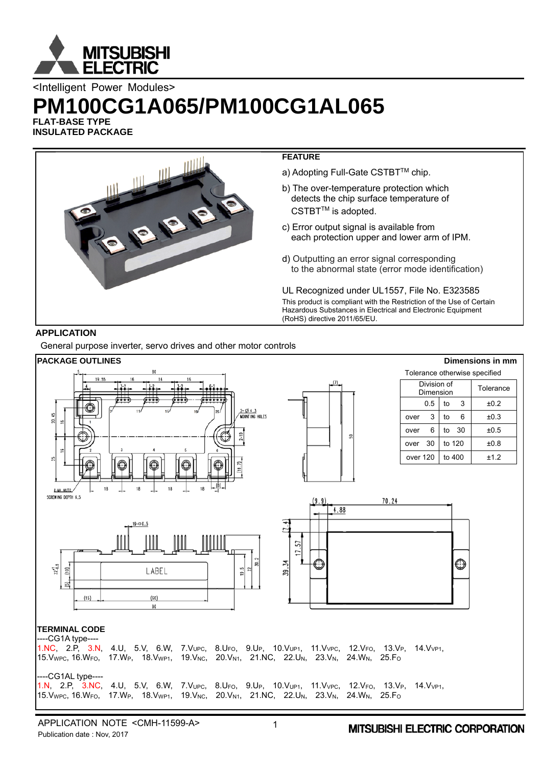

<Intelligent Power Modules>

# **PM100CG1A065/PM100CG1AL065**

**FLAT-BASE TYPE INSULATED PACKAGE** 



# **APPLICATION**

General purpose inverter, servo drives and other motor controls

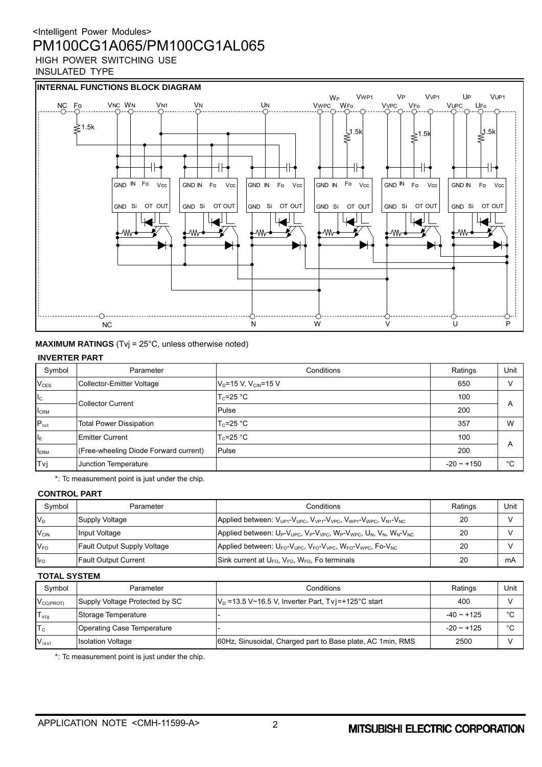INSULATED TYPE



**MAXIMUM RATINGS** (Tvj = 25°C, unless otherwise noted)

#### **INVERTER PART**

| Symbol           | Parameter                             | Conditions                   | Ratings         | Unit |
|------------------|---------------------------------------|------------------------------|-----------------|------|
| $V_{CES}$        | Collector-Emitter Voltage             | $V_D = 15 V, V_{CID} = 15 V$ | 650             |      |
| $I_{\rm C}$      |                                       | $T_c$ =25 °C                 | 100             |      |
| $I_{\rm CRM}$    | <b>Collector Current</b>              | Pulse                        | 200             | A    |
| $P_{\text{tot}}$ | <b>Total Power Dissipation</b>        | $T_c = 25 °C$                | 357             | W    |
| I <sub>E</sub>   | <b>Emitter Current</b>                | $T_c = 25$ °C                | 100             |      |
| $I_{ERM}$        | (Free-wheeling Diode Forward current) | Pulse                        | 200             | A    |
| Tvi              | Junction Temperature                  |                              | $-20 \sim +150$ | °€   |

\*: Tc measurement point is just under the chip.

#### **CONTROL PART**

| Symbol           | Parameter                          | Conditions                                                                                                                                                                                  | Ratings | Unit |
|------------------|------------------------------------|---------------------------------------------------------------------------------------------------------------------------------------------------------------------------------------------|---------|------|
| $V_D$            | Supply Voltage                     | Applied between: V <sub>UP1</sub> -V <sub>UPC</sub> , V <sub>VP1</sub> -V <sub>VPC</sub> , V <sub>WP1</sub> -V <sub>WPC</sub> , V <sub>N1</sub> -V <sub>NC</sub>                            | 20      |      |
| $V_{CIN}$        | Input Voltage                      | Applied between: U <sub>P</sub> -V <sub>UPC</sub> , V <sub>P</sub> -V <sub>VPC</sub> , W <sub>P</sub> -V <sub>WPC</sub> , U <sub>N</sub> , V <sub>N</sub> , W <sub>N</sub> -V <sub>NC</sub> | 20      |      |
| $V_{FO}$         | <b>Fault Output Supply Voltage</b> | Applied between: $U_{FO}$ - $V_{UPC}$ , $V_{FO}$ - $V_{VPC}$ , $W_{FO}$ - $V_{WPC}$ , Fo- $V_{NC}$                                                                                          | 20      |      |
| ll <sub>FO</sub> | <b>Fault Output Current</b>        | Sink current at $U_{FO}$ , $V_{FO}$ , $W_{FO}$ , Fo terminals                                                                                                                               | 20      | mA   |

#### **TOTAL SYSTEM**

| Symbol                | Parameter                      | Conditions                                                  | Ratings      | Unit    |
|-----------------------|--------------------------------|-------------------------------------------------------------|--------------|---------|
| $V_{\text{CC(PROT)}}$ | Supply Voltage Protected by SC | $V_D$ =13.5 V~16.5 V, Inverter Part, Tvi=+125°C start       | 400          |         |
| $T_{\text{stg}}$      | Storage Temperature            |                                                             | $-40 - +125$ | $\circ$ |
| $T_c$                 | Operating Case Temperature     |                                                             | $-20 - 125$  | $\circ$ |
| V <sub>iso1</sub>     | <b>Isolation Voltage</b>       | 60Hz, Sinusoidal, Charged part to Base plate, AC 1 min, RMS | 2500         |         |

\*: Tc measurement point is just under the chip.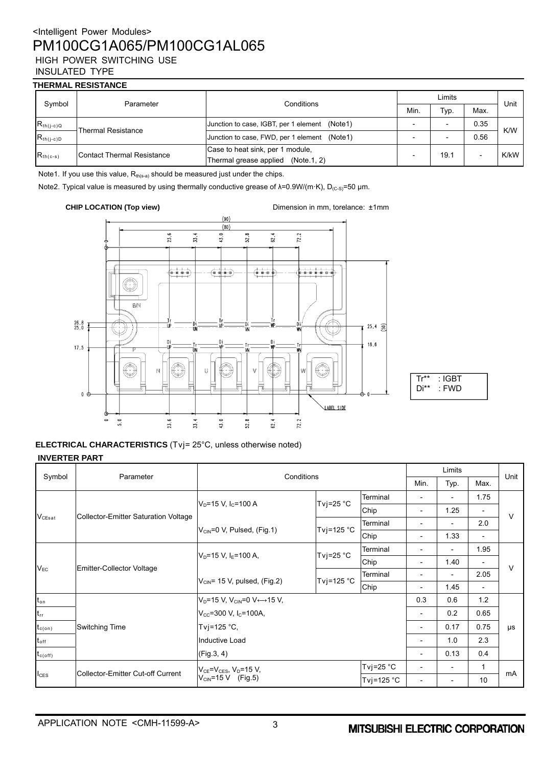### **THERMAL RESISTANCE**

| Symbol         | Parameter                         | Conditions                                       | Limits |      |                          | Unit |
|----------------|-----------------------------------|--------------------------------------------------|--------|------|--------------------------|------|
|                |                                   |                                                  | Min.   | Typ. | Max.                     |      |
| $R_{th(j-c)Q}$ | <b>Thermal Resistance</b>         | Junction to case, IGBT, per 1 element<br>(Note1) |        | -    | 0.35                     | K/W  |
| $R_{th(j-c)D}$ |                                   | Junction to case, FWD, per 1 element (Note1)     |        |      | 0.56                     |      |
| $R_{th(c-s)}$  | <b>Contact Thermal Resistance</b> | Case to heat sink, per 1 module,                 | 19.1   |      | K/kW                     |      |
|                |                                   | Thermal grease applied<br>(Note.1, 2)            |        |      | $\overline{\phantom{0}}$ |      |

Note1. If you use this value,  $R_{th(s-a)}$  should be measured just under the chips.

Note2. Typical value is measured by using thermally conductive grease of λ=0.9W/(m·K), D<sub>(c-s)</sub>=50 μm.

**CHIP LOCATION (Top view)** Dimension in mm, torelance:  $\pm 1$ mm





**ELECTRICAL CHARACTERISTICS** (Tvj= 25°C, unless otherwise noted) **INVERTER PART** 

|                     | Parameter                                   | Conditions                                                     |                      | Limits                   |                          |                              | Unit                     |        |
|---------------------|---------------------------------------------|----------------------------------------------------------------|----------------------|--------------------------|--------------------------|------------------------------|--------------------------|--------|
| Symbol              |                                             |                                                                |                      |                          |                          | Typ.                         | Max.                     |        |
|                     |                                             | Tvj=25 $°C$<br>$V_D = 15 V$ , I <sub>C</sub> =100 A            |                      | Terminal                 |                          |                              | 1.75                     |        |
|                     |                                             |                                                                |                      | Chip                     | $\overline{\phantom{a}}$ | 1.25                         |                          | $\vee$ |
| $V_{CEsat}$         | <b>Collector-Emitter Saturation Voltage</b> |                                                                |                      | Terminal                 | $\overline{\phantom{0}}$ |                              | 2.0                      |        |
|                     |                                             | $V_{\text{CIN}} = 0$ V, Pulsed, (Fig. 1)                       | Tvj=125 $^{\circ}$ C | Chip                     | -                        | 1.33                         | $\overline{\phantom{a}}$ |        |
|                     | <b>Emitter-Collector Voltage</b>            | Tvj=25 $°C$<br>$V_D = 15 V$ , I <sub>F</sub> =100 A,           |                      | Terminal                 | $\overline{\phantom{0}}$ | $\qquad \qquad \blacksquare$ | 1.95                     | $\vee$ |
|                     |                                             |                                                                |                      | Chip                     | $\overline{\phantom{a}}$ | 1.40                         | $\overline{\phantom{a}}$ |        |
| $V_{EC}$            |                                             | Tvj=125 °C<br>$V_{CIN}$ = 15 V, pulsed, (Fig.2)                |                      | Terminal                 | $\overline{\phantom{0}}$ |                              | 2.05                     |        |
|                     |                                             |                                                                | Chip                 | $\overline{\phantom{a}}$ | 1.45                     | $\overline{\phantom{a}}$     |                          |        |
| $t_{\text{on}}$     | Switching Time                              | $V_D = 15 V$ , $V_{CIN} = 0 V \leftrightarrow 15 V$ ,          |                      |                          | 0.3                      | 0.6                          | 1.2                      |        |
| $t_{rr}$            |                                             | $V_{\text{cc}} = 300 \text{ V}$ , I <sub>c</sub> =100A,        |                      |                          | 0.2                      | 0.65                         |                          |        |
| $t_{c(on)}$         |                                             | Tvj=125 $°C$ ,<br>Inductive Load                               |                      | $\overline{\phantom{a}}$ | 0.17                     | 0.75                         | μs                       |        |
| $t_{\mathsf{off}}$  |                                             |                                                                |                      |                          | 1.0                      | 2.3                          |                          |        |
| $t_{c(\text{off})}$ |                                             | (Fig.3, 4)                                                     |                      |                          | $\overline{\phantom{0}}$ | 0.13                         | 0.4                      |        |
|                     |                                             | $V_{CE} = V_{CES}$ , $V_D = 15$ V,<br>$V_{CIN} = 15 V$ (Fig.5) |                      | Tvj=25 $°C$              | $\overline{\phantom{0}}$ |                              | 1                        |        |
| $I_{\text{CES}}$    | Collector-Emitter Cut-off Current           |                                                                |                      | Tvj=125 °C               | $\overline{\phantom{a}}$ | $\overline{\phantom{a}}$     | 10                       | mA     |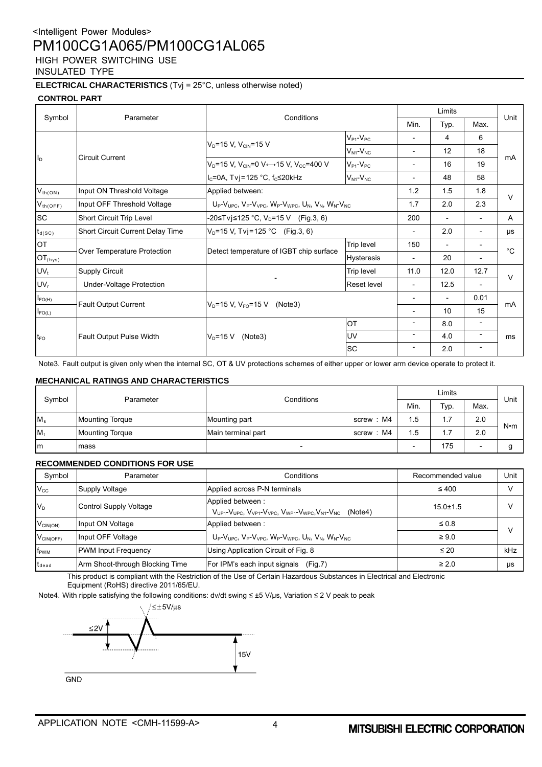#### **ELECTRICAL CHARACTERISTICS** (Tvj = 25°C, unless otherwise noted)

#### **CONTROL PART**

|                     |                                  | Conditions<br>Parameter                                                                                                       |                     |                          | Limits                   |                          |             |
|---------------------|----------------------------------|-------------------------------------------------------------------------------------------------------------------------------|---------------------|--------------------------|--------------------------|--------------------------|-------------|
| Symbol              |                                  |                                                                                                                               |                     | Min.                     | Typ.                     | Max.                     | Unit        |
|                     |                                  |                                                                                                                               | $V_{P1}$ - $V_{PC}$ | $\overline{\phantom{0}}$ | 4                        | 6                        |             |
|                     |                                  | $V_D = 15 V$ , $V_{CIN} = 15 V$                                                                                               | $V_{N1}$ - $V_{NC}$ | $\overline{\phantom{0}}$ | 12                       | 18                       |             |
| II <sub>D</sub>     | <b>Circuit Current</b>           | $V_D$ =15 V, V <sub>CIN</sub> =0 V $\leftrightarrow$ 15 V, V <sub>CC</sub> =400 V                                             | $V_{P1}$ - $V_{PC}$ | $\overline{\phantom{0}}$ | 16                       | 19                       | mA          |
|                     |                                  | $I_c = 0A$ , Tvj = 125 °C, f <sub>c</sub> ≤ 20kHz                                                                             | $V_{N1}$ - $V_{NC}$ | $\overline{\phantom{0}}$ | 48                       | 58                       |             |
| $V_{th(ON)}$        | Input ON Threshold Voltage       | Applied between:<br>$U_P-V_{\text{LIPC}}$ , $V_P-V_{\text{VPC}}$ , $W_P-V_{\text{WPC}}$ , $U_N$ , $V_N$ , $W_N-V_{\text{NC}}$ |                     | 1.2                      | 1.5                      | 1.8                      |             |
| $V_{th(OFF)}$       | Input OFF Threshold Voltage      |                                                                                                                               |                     | 1.7                      | 2.0                      | 2.3                      | $\vee$      |
| <b>SC</b>           | Short Circuit Trip Level         | -20≤Tvj≤125 °C, V <sub>D</sub> =15 V (Fig.3, 6)                                                                               |                     | 200                      | $\overline{\phantom{a}}$ |                          | A           |
| $t_{d(SC)}$         | Short Circuit Current Delay Time | $V_D$ =15 V, Tvj=125 °C (Fig.3, 6)                                                                                            |                     | $\overline{\phantom{0}}$ | 2.0                      | $\overline{\phantom{0}}$ | $\mu s$     |
| <b>OT</b>           |                                  | Over Temperature Protection<br>Detect temperature of IGBT chip surface                                                        | Trip level          | 150                      | $\overline{\phantom{a}}$ |                          | $^{\circ}C$ |
| $OT_{\text{(hys)}}$ |                                  |                                                                                                                               | <b>Hysteresis</b>   | $\overline{\phantom{0}}$ | 20                       | $\overline{\phantom{0}}$ |             |
| $UV_t$              | <b>Supply Circuit</b>            |                                                                                                                               | Trip level          | 11.0                     | 12.0                     | 12.7                     |             |
| UV <sub>r</sub>     | Under-Voltage Protection         |                                                                                                                               | <b>Reset level</b>  | -                        | 12.5                     | $\overline{\phantom{0}}$ | $\vee$      |
| $I_{FO(H)}$         |                                  |                                                                                                                               |                     | $\overline{\phantom{0}}$ | $\overline{\phantom{a}}$ | 0.01                     |             |
| $I_{FO(L)}$         | <b>Fault Output Current</b>      | $V_{D}$ =15 V, V <sub>FO</sub> =15 V (Note3)                                                                                  |                     | $\overline{\phantom{0}}$ | 10                       | 15                       | mA          |
|                     |                                  |                                                                                                                               | OT                  | $\overline{\phantom{0}}$ | 8.0                      | $\overline{\phantom{0}}$ |             |
| $t_{\text{FO}}$     | Fault Output Pulse Width         | $V_D = 15 V$<br>(Note3)                                                                                                       | UV                  | $\overline{\phantom{0}}$ | 4.0                      | $\overline{\phantom{a}}$ | ms          |
|                     |                                  |                                                                                                                               | SC                  | -                        | 2.0                      | -                        |             |

Note3. Fault output is given only when the internal SC, OT & UV protections schemes of either upper or lower arm device operate to protect it.

#### **MECHANICAL RATINGS AND CHARACTERISTICS**

| Symbol  | Parameter              | Conditions                      |     | Limits                        |                          |             |
|---------|------------------------|---------------------------------|-----|-------------------------------|--------------------------|-------------|
|         |                        |                                 |     | Typ.                          | Max.                     | Unit        |
| $M_s$   | <b>Mounting Torque</b> | screw: M4<br>Mounting part      | 1.5 | ⇁                             | 2.0                      | $N \cdot m$ |
| $M_{t}$ | <b>Mounting Torque</b> | screw: M4<br>Main terminal part | 1.5 | ⇁<br>$\overline{\phantom{a}}$ | 2.0                      |             |
| Im      | mass                   | $\overline{\phantom{0}}$        |     | 175                           | $\overline{\phantom{0}}$ |             |

|                | <b>RECOMMENDED CONDITIONS FOR USE</b> |                                                                                                                            |                   |      |  |  |  |  |  |  |
|----------------|---------------------------------------|----------------------------------------------------------------------------------------------------------------------------|-------------------|------|--|--|--|--|--|--|
| Symbol         | Parameter                             | Conditions                                                                                                                 | Recommended value | Unit |  |  |  |  |  |  |
| $V_{\rm CC}$   | Supply Voltage                        | Applied across P-N terminals                                                                                               | $\leq 400$        |      |  |  |  |  |  |  |
| $V_D$          | Control Supply Voltage                | Applied between:<br>$V_{UP1}$ - $V_{UPC}$ , $V_{VP1}$ - $V_{VPC}$ , $V_{WP1}$ - $V_{WPC}$ , $V_{NI}$ - $V_{NC}$<br>(Note4) | $15.0 \pm 1.5$    |      |  |  |  |  |  |  |
| $V_{CIN(ON)}$  | Input ON Voltage                      | Applied between:                                                                                                           | $\leq 0.8$        |      |  |  |  |  |  |  |
| $V_{CIN(OFF)}$ | Input OFF Voltage                     | $U_P-V_{UPC}$ , $V_P-V_{VPC}$ , $W_P-V_{WPC}$ , $U_N$ , $V_N$ , $W_N-V_{NC}$                                               | $\geq 9.0$        |      |  |  |  |  |  |  |
| $f_{\rm PWM}$  | <b>PWM Input Frequency</b>            | Using Application Circuit of Fig. 8                                                                                        | $\leq 20$         | kHz  |  |  |  |  |  |  |
| $t_{dead}$     | Arm Shoot-through Blocking Time       | For IPM's each input signals (Fig.7)                                                                                       | $\geq 2.0$        | μs   |  |  |  |  |  |  |

This product is compliant with the Restriction of the Use of Certain Hazardous Substances in Electrical and Electronic Equipment (RoHS) directive 2011/65/EU.

Note4. With ripple satisfying the following conditions: dv/dt swing ≤ ±5 V/μs, Variation ≤ 2 V peak to peak

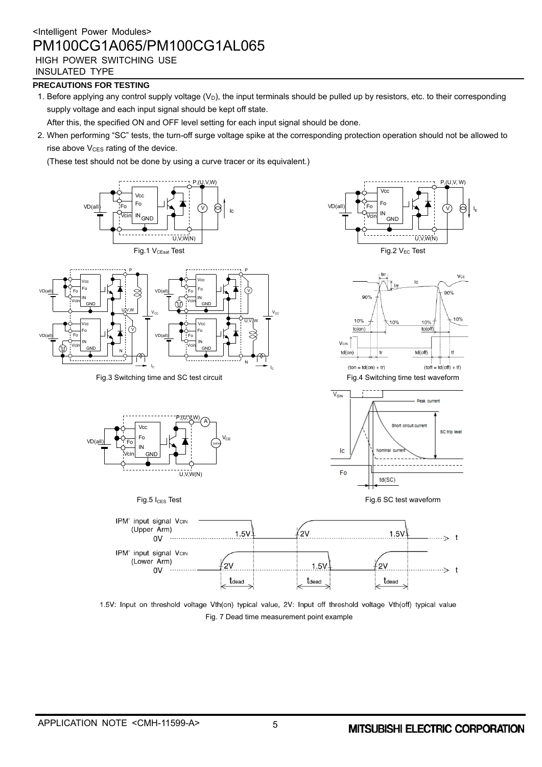INSULATED TYPE

VD(all)

VD(all)

### **PRECAUTIONS FOR TESTING**

1. Before applying any control supply voltage  $(V_D)$ , the input terminals should be pulled up by resistors, etc. to their corresponding supply voltage and each input signal should be kept off state.

After this, the specified ON and OFF level setting for each input signal should be done.

2. When performing "SC" tests, the turn-off surge voltage spike at the corresponding protection operation should not be allowed to  $rise$  above  $V<sub>CES</sub>$  rating of the device.

(These test should not be done by using a curve tracer or its equivalent.)



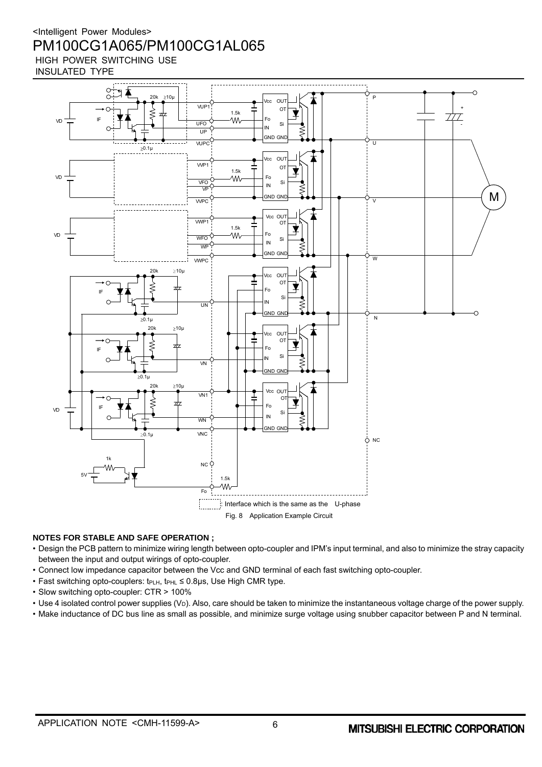

#### **NOTES FOR STABLE AND SAFE OPERATION ;**

- Design the PCB pattern to minimize wiring length between opto-coupler and IPM's input terminal, and also to minimize the stray capacity between the input and output wirings of opto-coupler.
- Connect low impedance capacitor between the Vcc and GND terminal of each fast switching opto-coupler.
- Fast switching opto-couplers: t<sub>PLH</sub>, t<sub>PHL</sub> ≤ 0.8µs, Use High CMR type.
- Slow switching opto-coupler: CTR > 100%
- Use 4 isolated control power supplies (V<sub>D</sub>). Also, care should be taken to minimize the instantaneous voltage charge of the power supply.
- Make inductance of DC bus line as small as possible, and minimize surge voltage using snubber capacitor between P and N terminal.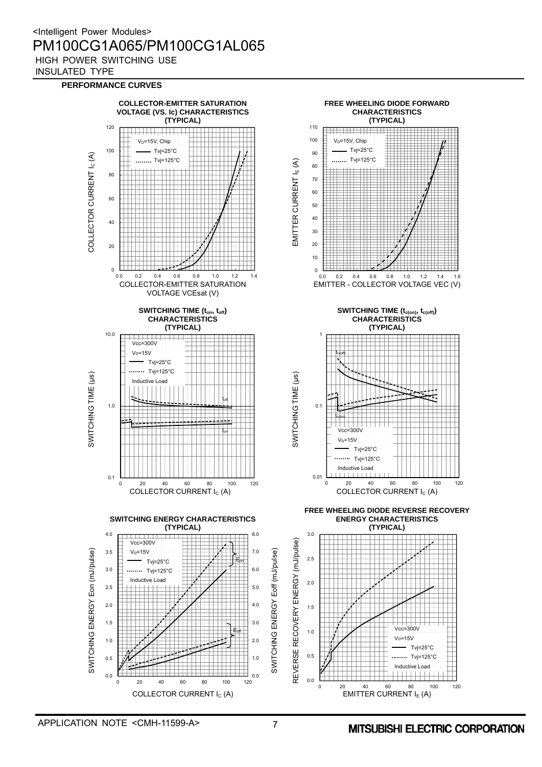#### **PERFORMANCE CURVES**

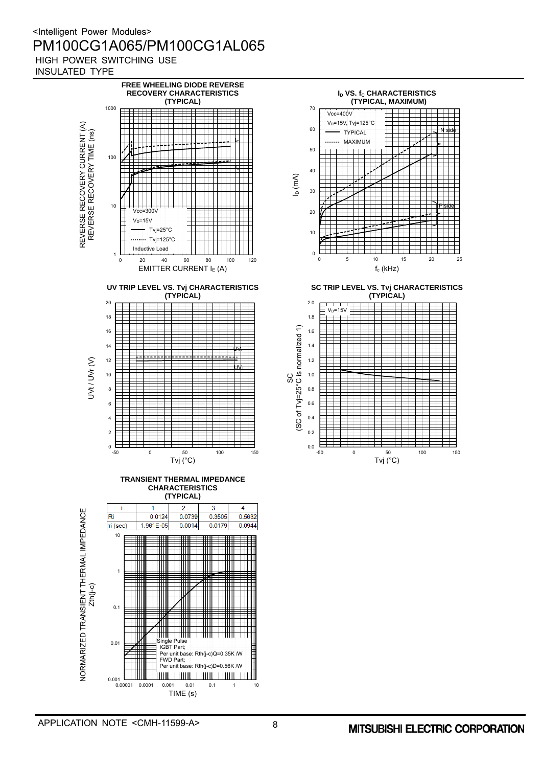





**SC TRIP LEVEL VS. Tvj CHARACTERISTICS (TYPICAL)**